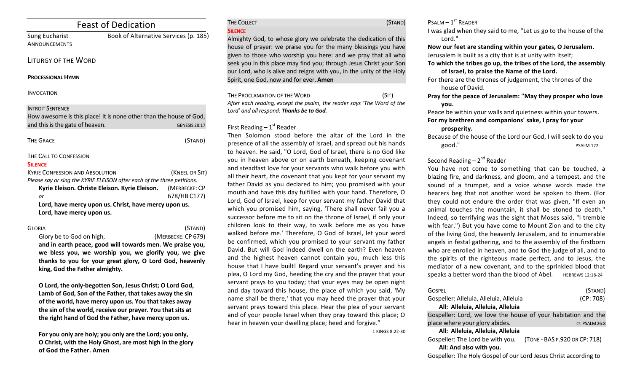Sung Eucharist Book of Alternative Services (p. 185) **ANNOUNCEMENTS** 

# LITURGY OF THE WORD

#### **PROCESSIONAL HYMN**

INVOCATION

#### **INTROIT SENTENCE**

| How awesome is this place! It is none other than the house of God, |                      |  |
|--------------------------------------------------------------------|----------------------|--|
| and this is the gate of heaven.                                    | <b>GENESIS 28:17</b> |  |
| THE GRACE                                                          | (STAND)              |  |
| THE CALL TO CONFESSION<br><b>SILENCE</b>                           |                      |  |

| <b>KYRIE CONFESSION AND ABSOLUTION</b>                                  | (KNEEL OR SIT) |  |
|-------------------------------------------------------------------------|----------------|--|
| Please say or sing the KYRIE ELEISON after each of the three petitions. |                |  |
| Kyrie Eleison. Christe Eleison. Kyrie Eleison.                          | (MERBECKE: CP  |  |
| or                                                                      | 678/HB C177)   |  |
| Lord, have mercy upon us. Christ, have mercy upon us.                   |                |  |
| Lord, have mercy upon us.                                               |                |  |

GLORIA (STAND) Glory be to God on high. *CODE* (MERBECKE: CP 679)

and in earth peace, good will towards men. We praise you, we bless you, we worship you, we glorify you, we give thanks to you for your great glory, O Lord God, heavenly king, God the Father almighty.

**O** Lord, the only-begotten Son, Jesus Christ; O Lord God, Lamb of God, Son of the Father, that takes away the sin of the world, have mercy upon us. You that takes away the sin of the world, receive our prayer. You that sits at the right hand of God the Father, have mercy upon us.

For you only are holy; you only are the Lord; you only, **O** Christ, with the Holy Ghost, are most high in the glory **of God the Father. Amen**

| THE COLLECT    | (STAND) |
|----------------|---------|
| <b>SILENCE</b> |         |

Almighty God, to whose glory we celebrate the dedication of this house of prayer: we praise you for the many blessings you have given to those who worship you here: and we pray that all who seek you in this place may find you; through Jesus Christ your Son our Lord, who is alive and reigns with you, in the unity of the Holy Spirit, one God, now and for ever. **Amen** 

THE PROCLAMATION OF THE WORD (SIT) After each reading, except the psalm, the reader says 'The Word of the Lord' and all respond: Thanks be to God.

# First Reading  $-1<sup>st</sup>$  Reader

Then Solomon stood before the altar of the Lord in the presence of all the assembly of Israel, and spread out his hands to heaven. He said, "O Lord, God of Israel, there is no God like you in heaven above or on earth beneath, keeping covenant and steadfast love for your servants who walk before you with all their heart, the covenant that you kept for your servant my father David as you declared to him; you promised with your mouth and have this day fulfilled with your hand. Therefore, O Lord, God of Israel, keep for your servant my father David that which you promised him, saying, 'There shall never fail you a successor before me to sit on the throne of Israel, if only your children look to their way, to walk before me as you have walked before me.' Therefore, O God of Israel, let your word be confirmed, which you promised to your servant my father David. But will God indeed dwell on the earth? Even heaven and the highest heaven cannot contain you, much less this house that I have built! Regard your servant's prayer and his plea, O Lord my God, heeding the cry and the prayer that your servant prays to you today; that your eyes may be open night and day toward this house, the place of which you said, 'My name shall be there,' that you may heed the prayer that your servant prays toward this place. Hear the plea of your servant and of your people Israel when they pray toward this place; O hear in heaven your dwelling place; heed and forgive."

1 KINGS 8:22-30

 $P$ SALM –  $1<sup>ST</sup>$  READER

I was glad when they said to me, "Let us go to the house of the Lord."

Now our feet are standing within your gates, O Jerusalem. Jerusalem is built as a city that is at unity with itself;

- To which the tribes go up, the tribes of the Lord, the assembly of Israel, to praise the Name of the Lord.
- For there are the thrones of judgement, the thrones of the house of David.
- Pray for the peace of Jerusalem: "May they prosper who love **you.**

Peace be within your walls and quietness within your towers. For my brethren and companions' sake, I pray for your **prosperity.** 

Because of the house of the Lord our God. I will seek to do you good." **PSALM 122** 

# Second Reading  $- 2<sup>nd</sup>$  Reader

You have not come to something that can be touched, a blazing fire, and darkness, and gloom, and a tempest, and the sound of a trumpet, and a voice whose words made the hearers beg that not another word be spoken to them. (For they could not endure the order that was given, "If even an animal touches the mountain, it shall be stoned to death." Indeed, so terrifying was the sight that Moses said, "I tremble with fear.") But you have come to Mount Zion and to the city of the living God, the heavenly Jerusalem, and to innumerable angels in festal gathering, and to the assembly of the firstborn who are enrolled in heaven, and to God the judge of all, and to the spirits of the righteous made perfect, and to Jesus, the mediator of a new covenant, and to the sprinkled blood that speaks a better word than the blood of Abel. HEBREWS 12:18-24

| GOSPEL                                                            | (STAND)        |
|-------------------------------------------------------------------|----------------|
| Gospeller: Alleluia, Alleluia, Alleluia                           | (CP: 708)      |
| All: Alleluia, Alleluia, Alleluia                                 |                |
| Gospeller: Lord, we love the house of your habitation and the     |                |
| place where your glory abides.                                    | CF. PSALM 26:8 |
| All: Alleluia, Alleluia, Alleluia                                 |                |
| (TONE - BAS P.920 OR CP: 718)<br>Gospeller: The Lord be with you. |                |
| All: And also with you.                                           |                |
| Gospeller: The Holy Gospel of our Lord Jesus Christ according to  |                |